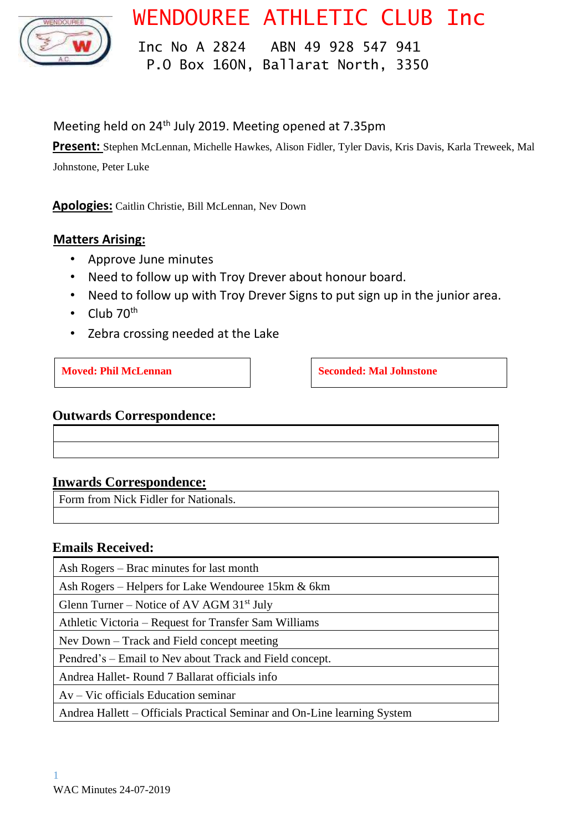

# WENDOUREE ATHLETIC CLUB Inc

 Inc No A 2824 ABN 49 928 547 941 P.O Box 160N, Ballarat North, 3350

# Meeting held on 24<sup>th</sup> July 2019. Meeting opened at 7.35pm

**Present:** Stephen McLennan, Michelle Hawkes, Alison Fidler, Tyler Davis, Kris Davis, Karla Treweek, Mal

Johnstone, Peter Luke

**Apologies:** Caitlin Christie, Bill McLennan, Nev Down

#### **Matters Arising:**

- Approve June minutes
- Need to follow up with Troy Drever about honour board.
- Need to follow up with Troy Drever Signs to put sign up in the junior area.
- Club  $70<sup>th</sup>$
- Zebra crossing needed at the Lake

**Moved: Phil McLennan Seconded: Mal Johnstone Seconded: Mal Johnstone** 

#### **Outwards Correspondence:**

#### **Inwards Correspondence:**

Form from Nick Fidler for Nationals.

#### **Emails Received:**

Ash Rogers – Brac minutes for last month

Ash Rogers – Helpers for Lake Wendouree 15km & 6km

Glenn Turner – Notice of AV AGM  $31<sup>st</sup>$  July

Athletic Victoria – Request for Transfer Sam Williams

Nev Down – Track and Field concept meeting

Pendred's – Email to Nev about Track and Field concept.

Andrea Hallet- Round 7 Ballarat officials info

Av – Vic officials Education seminar

Andrea Hallett – Officials Practical Seminar and On-Line learning System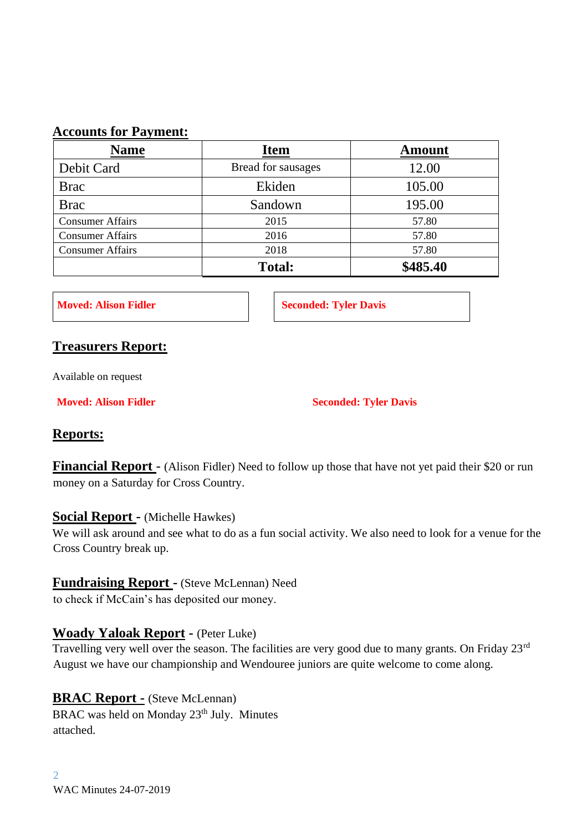#### **Accounts for Payment:**

| <b>Name</b>             | <b>Item</b>        | <b>Amount</b> |
|-------------------------|--------------------|---------------|
| Debit Card              | Bread for sausages | 12.00         |
| <b>Brac</b>             | Ekiden             | 105.00        |
| <b>Brac</b>             | Sandown            | 195.00        |
| <b>Consumer Affairs</b> | 2015               | 57.80         |
| <b>Consumer Affairs</b> | 2016               | 57.80         |
| <b>Consumer Affairs</b> | 2018               | 57.80         |
|                         | <b>Total:</b>      | \$485.40      |

**Moved: Alison Fidler Seconded: Tyler Davis** 

#### **Treasurers Report:**

Available on request

**Moved: Alison Fidler Seconded: Tyler Davis** 

#### **Reports:**

**Financial Report** - (Alison Fidler) Need to follow up those that have not yet paid their \$20 or run money on a Saturday for Cross Country.

#### **Social Report -** (Michelle Hawkes)

We will ask around and see what to do as a fun social activity. We also need to look for a venue for the Cross Country break up.

#### **Fundraising Report -** (Steve McLennan) Need

to check if McCain's has deposited our money.

#### **Woady Yaloak Report -** (Peter Luke)

Travelling very well over the season. The facilities are very good due to many grants. On Friday 23rd August we have our championship and Wendouree juniors are quite welcome to come along.

#### **BRAC Report -** (Steve McLennan)

BRAC was held on Monday 23<sup>th</sup> July. Minutes attached.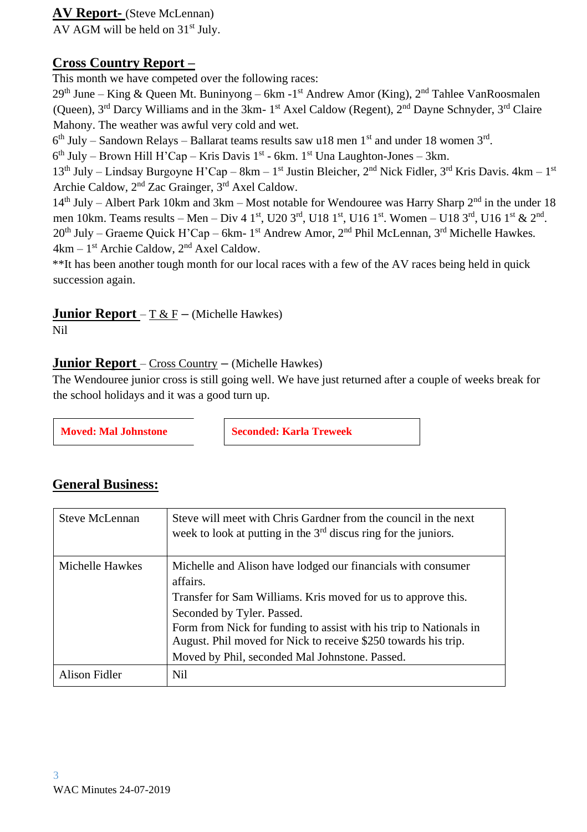#### **AV Report-** (Steve McLennan)

AV AGM will be held on  $31<sup>st</sup>$  July.

### **Cross Country Report –**

This month we have competed over the following races:

 $29<sup>th</sup>$  June – King & Queen Mt. Buninyong – 6km -1<sup>st</sup> Andrew Amor (King), 2<sup>nd</sup> Tahlee VanRoosmalen (Queen), 3<sup>rd</sup> Darcy Williams and in the 3km- 1<sup>st</sup> Axel Caldow (Regent), 2<sup>nd</sup> Dayne Schnyder, 3<sup>rd</sup> Claire Mahony. The weather was awful very cold and wet.

 $6<sup>th</sup> July – Sandown Relays – Ballarat teams results saw u18 men 1<sup>st</sup> and under 18 women 3<sup>rd</sup>.$ 

 $6<sup>th</sup> July – Brown Hill H'Cap – Kris Davis 1<sup>st</sup> - 6km. 1<sup>st</sup> Una Laughton-Jones – 3km.$ 

13<sup>th</sup> July – Lindsay Burgoyne H'Cap – 8km – 1<sup>st</sup> Justin Bleicher, 2<sup>nd</sup> Nick Fidler, 3<sup>rd</sup> Kris Davis. 4km – 1<sup>st</sup> Archie Caldow, 2nd Zac Grainger, 3rd Axel Caldow.

 $14<sup>th</sup>$  July – Albert Park 10km and 3km – Most notable for Wendouree was Harry Sharp  $2<sup>nd</sup>$  in the under 18 men 10km. Teams results – Men – Div 4 1<sup>st</sup>, U20 3<sup>rd</sup>, U18 1<sup>st</sup>, U16 1<sup>st</sup>. Women – U18 3<sup>rd</sup>, U16 1<sup>st</sup> & 2<sup>nd</sup>.  $20<sup>th</sup>$  July – Graeme Quick H'Cap – 6km- 1<sup>st</sup> Andrew Amor, 2<sup>nd</sup> Phil McLennan, 3<sup>rd</sup> Michelle Hawkes. 4km – 1<sup>st</sup> Archie Caldow, 2<sup>nd</sup> Axel Caldow.

\*\*It has been another tough month for our local races with a few of the AV races being held in quick succession again.

# **Junior Report** –  $\underline{T} \& \underline{F}$  – (Michelle Hawkes)

Nil

#### **Junior Report** – Cross Country **–** (Michelle Hawkes)

The Wendouree junior cross is still going well. We have just returned after a couple of weeks break for the school holidays and it was a good turn up.

**Moved: Mal Johnstone | Seconded: Karla Treweek | Seconded: Karla Treweek | Seconded: Karla Treweek | Seconded: Karla Treweek | Seconded: Karla Treweek | Seconded: Karla Treweek | Seconded: Karla Treweek | Seconded: Karla** 

## **General Business:**

| Steve McLennan       | Steve will meet with Chris Gardner from the council in the next<br>week to look at putting in the $3rd$ discus ring for the juniors.                                                                                                                                                                                                                              |
|----------------------|-------------------------------------------------------------------------------------------------------------------------------------------------------------------------------------------------------------------------------------------------------------------------------------------------------------------------------------------------------------------|
| Michelle Hawkes      | Michelle and Alison have lodged our financials with consumer<br>affairs.<br>Transfer for Sam Williams. Kris moved for us to approve this.<br>Seconded by Tyler. Passed.<br>Form from Nick for funding to assist with his trip to Nationals in<br>August. Phil moved for Nick to receive \$250 towards his trip.<br>Moved by Phil, seconded Mal Johnstone. Passed. |
| <b>Alison Fidler</b> | Nil                                                                                                                                                                                                                                                                                                                                                               |